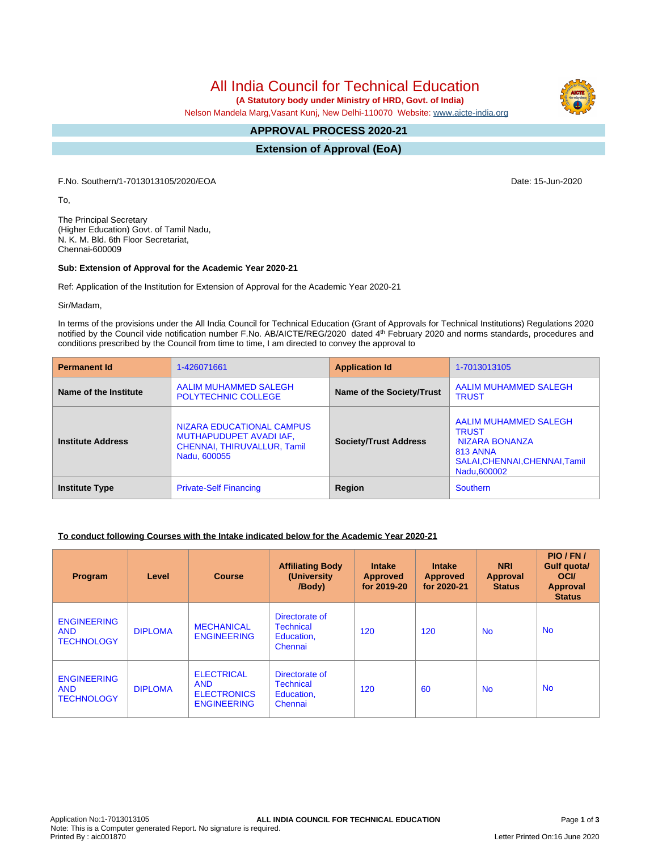All India Council for Technical Education

 **(A Statutory body under Ministry of HRD, Govt. of India)**

Nelson Mandela Marg,Vasant Kunj, New Delhi-110070 Website: [www.aicte-india.org](http://www.aicte-india.org)

#### **APPROVAL PROCESS 2020-21 -**

**Extension of Approval (EoA)**

F.No. Southern/1-7013013105/2020/EOA Date: 15-Jun-2020

To,

The Principal Secretary (Higher Education) Govt. of Tamil Nadu, N. K. M. Bld. 6th Floor Secretariat, Chennai-600009

### **Sub: Extension of Approval for the Academic Year 2020-21**

Ref: Application of the Institution for Extension of Approval for the Academic Year 2020-21

Sir/Madam,

In terms of the provisions under the All India Council for Technical Education (Grant of Approvals for Technical Institutions) Regulations 2020 notified by the Council vide notification number F.No. AB/AICTE/REG/2020 dated 4<sup>th</sup> February 2020 and norms standards, procedures and conditions prescribed by the Council from time to time, I am directed to convey the approval to

| <b>Permanent Id</b>      | 1-426071661                                                                                         | <b>Application Id</b>        | 1-7013013105                                                                                                         |  |
|--------------------------|-----------------------------------------------------------------------------------------------------|------------------------------|----------------------------------------------------------------------------------------------------------------------|--|
| Name of the Institute    | AALIM MUHAMMED SALEGH<br><b>POLYTECHNIC COLLEGE</b>                                                 | Name of the Society/Trust    | AALIM MUHAMMED SALEGH<br><b>TRUST</b>                                                                                |  |
| <b>Institute Address</b> | NIZARA EDUCATIONAL CAMPUS<br>MUTHAPUDUPET AVADI IAF,<br>CHENNAI, THIRUVALLUR, Tamil<br>Nadu, 600055 | <b>Society/Trust Address</b> | AALIM MUHAMMED SALEGH<br><b>TRUST</b><br>NIZARA BONANZA<br>813 ANNA<br>SALAI, CHENNAI, CHENNAI, Tamil<br>Nadu,600002 |  |
| <b>Institute Type</b>    | <b>Private-Self Financing</b>                                                                       | Region                       | Southern                                                                                                             |  |

### **To conduct following Courses with the Intake indicated below for the Academic Year 2020-21**

| Program                                               | Level          | <b>Course</b>                                                               | <b>Affiliating Body</b><br>(University<br>/Body)            | <b>Intake</b><br><b>Approved</b><br>for 2019-20 | <b>Intake</b><br><b>Approved</b><br>for 2020-21 | <b>NRI</b><br>Approval<br><b>Status</b> | PIO/FN/<br>Gulf quota/<br><b>OCI</b><br>Approval<br><b>Status</b> |
|-------------------------------------------------------|----------------|-----------------------------------------------------------------------------|-------------------------------------------------------------|-------------------------------------------------|-------------------------------------------------|-----------------------------------------|-------------------------------------------------------------------|
| <b>ENGINEERING</b><br><b>AND</b><br><b>TECHNOLOGY</b> | <b>DIPLOMA</b> | <b>MECHANICAL</b><br><b>ENGINEERING</b>                                     | Directorate of<br><b>Technical</b><br>Education,<br>Chennai | 120                                             | 120                                             | <b>No</b>                               | <b>No</b>                                                         |
| <b>ENGINEERING</b><br><b>AND</b><br><b>TECHNOLOGY</b> | <b>DIPLOMA</b> | <b>ELECTRICAL</b><br><b>AND</b><br><b>ELECTRONICS</b><br><b>ENGINEERING</b> | Directorate of<br><b>Technical</b><br>Education,<br>Chennai | 120                                             | 60                                              | <b>No</b>                               | <b>No</b>                                                         |

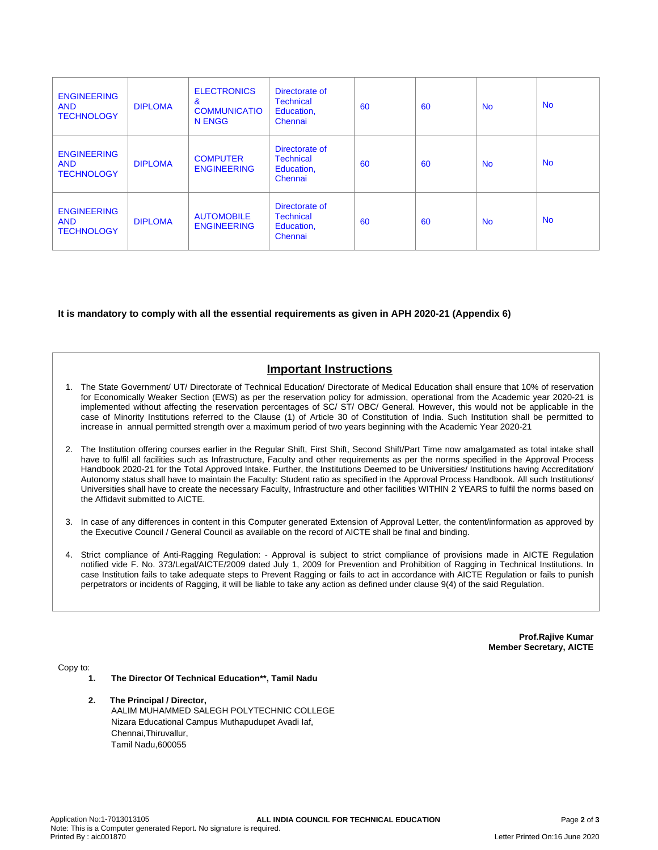| <b>ENGINEERING</b><br><b>AND</b><br><b>TECHNOLOGY</b> | <b>DIPLOMA</b> | <b>ELECTRONICS</b><br>&<br><b>COMMUNICATIO</b><br>N ENGG | Directorate of<br><b>Technical</b><br>Education,<br>Chennai | 60 | 60 | <b>No</b> | <b>No</b> |
|-------------------------------------------------------|----------------|----------------------------------------------------------|-------------------------------------------------------------|----|----|-----------|-----------|
| <b>ENGINEERING</b><br><b>AND</b><br><b>TECHNOLOGY</b> | <b>DIPLOMA</b> | <b>COMPUTER</b><br><b>ENGINEERING</b>                    | Directorate of<br><b>Technical</b><br>Education,<br>Chennai | 60 | 60 | <b>No</b> | <b>No</b> |
| <b>ENGINEERING</b><br><b>AND</b><br><b>TECHNOLOGY</b> | <b>DIPLOMA</b> | <b>AUTOMOBILE</b><br><b>ENGINEERING</b>                  | Directorate of<br><b>Technical</b><br>Education,<br>Chennai | 60 | 60 | <b>No</b> | <b>No</b> |

### **It is mandatory to comply with all the essential requirements as given in APH 2020-21 (Appendix 6)**

# **Important Instructions**

- 1. The State Government/ UT/ Directorate of Technical Education/ Directorate of Medical Education shall ensure that 10% of reservation for Economically Weaker Section (EWS) as per the reservation policy for admission, operational from the Academic year 2020-21 is implemented without affecting the reservation percentages of SC/ ST/ OBC/ General. However, this would not be applicable in the case of Minority Institutions referred to the Clause (1) of Article 30 of Constitution of India. Such Institution shall be permitted to increase in annual permitted strength over a maximum period of two years beginning with the Academic Year 2020-21
- 2. The Institution offering courses earlier in the Regular Shift, First Shift, Second Shift/Part Time now amalgamated as total intake shall have to fulfil all facilities such as Infrastructure, Faculty and other requirements as per the norms specified in the Approval Process Handbook 2020-21 for the Total Approved Intake. Further, the Institutions Deemed to be Universities/ Institutions having Accreditation/ Autonomy status shall have to maintain the Faculty: Student ratio as specified in the Approval Process Handbook. All such Institutions/ Universities shall have to create the necessary Faculty, Infrastructure and other facilities WITHIN 2 YEARS to fulfil the norms based on the Affidavit submitted to AICTE.
- 3. In case of any differences in content in this Computer generated Extension of Approval Letter, the content/information as approved by the Executive Council / General Council as available on the record of AICTE shall be final and binding.
- 4. Strict compliance of Anti-Ragging Regulation: Approval is subject to strict compliance of provisions made in AICTE Regulation notified vide F. No. 373/Legal/AICTE/2009 dated July 1, 2009 for Prevention and Prohibition of Ragging in Technical Institutions. In case Institution fails to take adequate steps to Prevent Ragging or fails to act in accordance with AICTE Regulation or fails to punish perpetrators or incidents of Ragging, it will be liable to take any action as defined under clause 9(4) of the said Regulation.

**Prof.Rajive Kumar Member Secretary, AICTE**

Copy to:

- **1. The Director Of Technical Education\*\*, Tamil Nadu**
- **2. The Principal / Director,** AALIM MUHAMMED SALEGH POLYTECHNIC COLLEGE Nizara Educational Campus Muthapudupet Avadi Iaf, Chennai,Thiruvallur, Tamil Nadu,600055